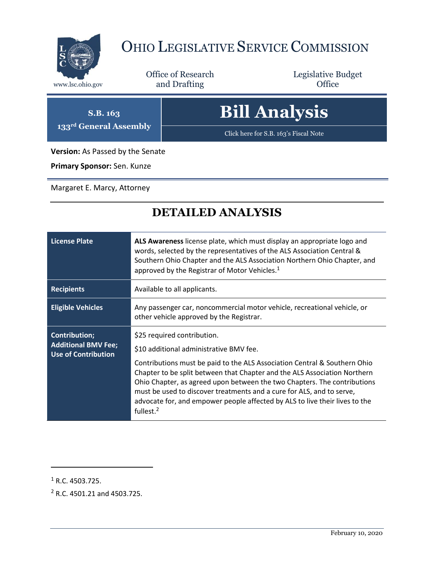

## OHIO LEGISLATIVE SERVICE COMMISSION

Office of Research www.lsc.ohio.gov **and Drafting Office** 

Legislative Budget

**S.B. 163 133rd General Assembly**

## **Bill Analysis**

[Click here for S.B. 163's Fiscal Note](https://www.legislature.ohio.gov/legislation/legislation-documents?id=GA133-SB-163)

**Version:** As Passed by the Senate

**Primary Sponsor:** Sen. Kunze

Margaret E. Marcy, Attorney

## **DETAILED ANALYSIS**

| <b>License Plate</b>                                                             | ALS Awareness license plate, which must display an appropriate logo and<br>words, selected by the representatives of the ALS Association Central &<br>Southern Ohio Chapter and the ALS Association Northern Ohio Chapter, and<br>approved by the Registrar of Motor Vehicles. <sup>1</sup>                                                                                                                                                                                                   |
|----------------------------------------------------------------------------------|-----------------------------------------------------------------------------------------------------------------------------------------------------------------------------------------------------------------------------------------------------------------------------------------------------------------------------------------------------------------------------------------------------------------------------------------------------------------------------------------------|
| <b>Recipients</b>                                                                | Available to all applicants.                                                                                                                                                                                                                                                                                                                                                                                                                                                                  |
| <b>Eligible Vehicles</b>                                                         | Any passenger car, noncommercial motor vehicle, recreational vehicle, or<br>other vehicle approved by the Registrar.                                                                                                                                                                                                                                                                                                                                                                          |
| <b>Contribution;</b><br><b>Additional BMV Fee;</b><br><b>Use of Contribution</b> | \$25 required contribution.<br>\$10 additional administrative BMV fee.<br>Contributions must be paid to the ALS Association Central & Southern Ohio<br>Chapter to be split between that Chapter and the ALS Association Northern<br>Ohio Chapter, as agreed upon between the two Chapters. The contributions<br>must be used to discover treatments and a cure for ALS, and to serve,<br>advocate for, and empower people affected by ALS to live their lives to the<br>fullest. <sup>2</sup> |

 $\overline{a}$ 

 $1$  R.C. 4503.725.

<sup>2</sup> R.C. 4501.21 and 4503.725.